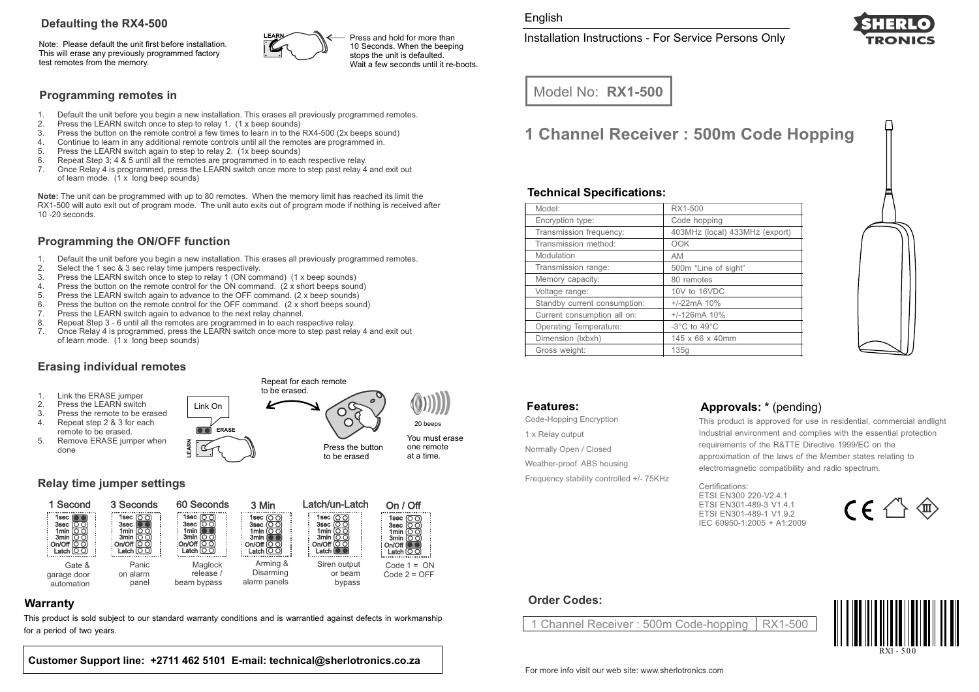# **Defaulting the RX4-500**

Note: Please default the unit first before installation. This will erase any previously programmed factory test remotes from the memory.



Press and hold for more than 10 Seconds. When the beeping stops the unit is defaulted. Wait a few seconds until it re-boots.

### **Programming remotes in**

- 1. Default the unit before you begin a new installation. This erases all previously programmed remotes.<br>2. Press the LEARN switch once to step to relay 1. (1 x beep sounds)
- 2. Press the LEARN switch once to step to relay 1.  $(1 \times \text{beep} \text{ sounds})$ <br>3. Press the button on the remote control a few times to learn in to the
- 3. Press the button on the remote control a few times to learn in to the RX4-500 ( $2x$  beeps sound)  $\frac{1}{4}$  Continue to learn in any additional remote controls until all the remotes are programmed in
- 4. Continue to learn in any additional remote controls until all the remotes are programmed in.<br>5. Press the LEARN switch again to step to relay 2. (1x beep sounds)
- 5. Press the LEARN switch again to step to relay 2. (1x beep sounds)<br>6. Repeat Step 3: 4 & 5 until all the remotes are programmed in to each
- 6. Repeat Step 3; 4 & 5 until all the remotes are programmed in to each respective relay.
- 7. Once Relay 4 is programmed, press the LEARN switch once more to step past relay 4 and exit out of learn mode. (1 x long beep sounds)

**Note:** The unit can be programmed with up to 80 remotes. When the memory limit has reached its limit the RX1-500 will auto exit out of program mode. The unit auto exits out of program mode if nothing is received after 10 -20 seconds.

# **Programming the ON/OFF function**

- 1. Default the unit before you begin a new installation. This erases all previously programmed remotes.<br>2. Select the 1 sec & 3 sec relay time jumpers respectively
- 2. Select the 1 sec & 3 sec relay time jumpers respectively.<br>3. Press the LEARN switch once to step to relay 1 (ON com
- 3. Press the LEARN switch once to step to relay 1 (ON command) (1 x beep sounds)  $4.$  Press the button on the remote control for the ON command. (2 x short beeps sour
- 4. Press the button on the remote control for the ON command.  $(2 \times \text{short been sound})$ <br>5. Press the LEARN switch again to advance to the OEE command.  $(2 \times \text{been sound})$
- 5. Press the LEARN switch again to advance to the OFF command. (2 x beep sounds)
- 6. Press the button on the remote control for the OFF command.  $(2 \times \text{short been} \times \text{point})$ <br>7 Press the LEARN switch again to advance to the next relay channel
- Press the LEARN switch again to advance to the next relay channel.
- 8. Repeat Step 3 6 until all the remotes are programmed in to each respective relay.<br>7. Once Relay 4 is programmed, press the LEARN switch once more to step past rela
- 7. Once Relay 4 is programmed, press the LEARN switch once more to step past relay 4 and exit out of learn mode. (1 x long beep sounds)

# **Erasing individual remotes**



# **Relay time jumper settings**



# **Warranty**

This product is sold subject to our standard warranty conditions and is warrantied against defects in workmanship for a period of two years.

**Customer Support line: +2711 462 5101 E-mail: technical@sherlotronics.co.za**

**English** 

Installation Instructions - For Service Persons Only



Model No: **RX1-500**

# **1 Channel Receiver : 500m Code Hopping**

# **Technical Specifications:**

| Model:                       | RX1-500                          |
|------------------------------|----------------------------------|
| Encryption type:             | Code hopping                     |
| Transmission frequency:      | 403MHz (local) 433MHz (export)   |
| Transmission method:         | OOK                              |
| Modulation                   | AM                               |
| Transmission range:          | 500m "Line of sight"             |
| Memory capacity:             | 80 remotes                       |
| Voltage range:               | 10V to 16VDC                     |
| Standby current consumption: | $+/-22mA$ 10%                    |
| Current consumption all on:  | $+/-126mA$ 10%                   |
| Operating Temperature:       | $-3^{\circ}$ C to $49^{\circ}$ C |
| Dimension (Ixbxh)            | 145 x 66 x 40mm                  |
| Gross weight:                | 135q                             |
|                              |                                  |



#### **Features:**

- 
- 
- Normally Open / Closed
- 
- Frequency stability controlled +/- 75KHz

# **Approvals: \*** (pending)

This product is approved for use in residential, commercial andlight Industrial environment and complies with the essential protection requirements of the R&TTE Directive 1999/EC on the approximation of the laws of the Member states relating to electromagnetic compatibility and radio spectrum.

Certifications: ETSI EN300 220-V2.4.1 ETSI EN301-489-3 V1.4.1 ETSI EN301-489-1 V1.9.2 IEC 60950-1:2005 + A1:2009



# **Order Codes:**

Channel Receiver : 500m Code-hopping | RX1-500



Code-Hopping Encryption

1 x Relay output

Weather-proof ABS housing